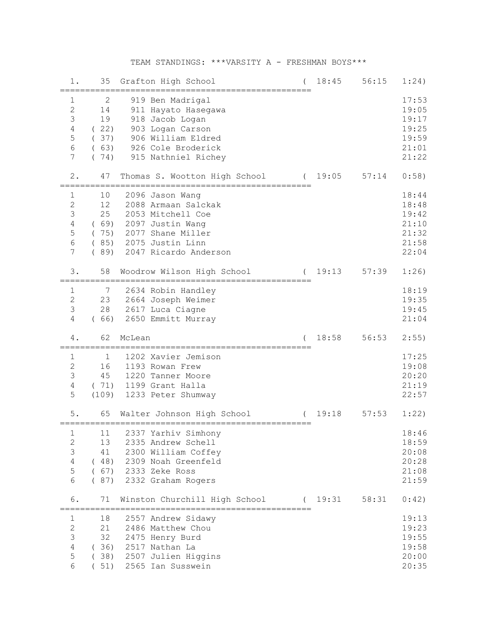## TEAM STANDINGS: \*\*\*VARSITY A - FRESHMAN BOYS\*\*\*

| 1.                                                             | 35                                                 |        | Grafton High School<br>=====================<br>=============                                                                                     | 18:45   | 56:15 | 1:24)                                                       |
|----------------------------------------------------------------|----------------------------------------------------|--------|---------------------------------------------------------------------------------------------------------------------------------------------------|---------|-------|-------------------------------------------------------------|
| 1<br>$\overline{c}$<br>3<br>$\sqrt{4}$<br>5<br>$\epsilon$<br>7 | 2<br>14<br>19<br>(22)<br>(37)<br>(63)<br>(74)      |        | 919 Ben Madrigal<br>911 Hayato Hasegawa<br>918 Jacob Logan<br>903 Logan Carson<br>906 William Eldred<br>926 Cole Broderick<br>915 Nathniel Richey |         |       | 17:53<br>19:05<br>19:17<br>19:25<br>19:59<br>21:01<br>21:22 |
| $2$ .                                                          | 47                                                 |        | Thomas S. Wootton High School                                                                                                                     | 19:05   | 57:14 | 0:58)                                                       |
| 1<br>$\mathbf{2}$<br>3<br>$\sqrt{4}$<br>5<br>$\epsilon$<br>7   | 10<br>12<br>25<br>(69)<br>(75)<br>(85)<br>(89)     |        | 2096 Jason Wang<br>2088 Armaan Salckak<br>2053 Mitchell Coe<br>2097 Justin Wang<br>2077 Shane Miller<br>2075 Justin Linn<br>2047 Ricardo Anderson |         |       | 18:44<br>18:48<br>19:42<br>21:10<br>21:32<br>21:58<br>22:04 |
| 3.                                                             | 58                                                 |        | Woodrow Wilson High School                                                                                                                        | 19:13   | 57:39 | 1:26                                                        |
| $\mathbf{1}$<br>$\sqrt{2}$<br>$\mathcal{S}$<br>$\overline{4}$  | 7<br>23<br>28<br>(66)                              |        | 2634 Robin Handley<br>2664 Joseph Weimer<br>2617 Luca Ciagne<br>2650 Emmitt Murray                                                                |         |       | 18:19<br>19:35<br>19:45<br>21:04                            |
| 4.                                                             | 62                                                 | McLean |                                                                                                                                                   | 18:58   | 56:53 | 2:55)                                                       |
| 1<br>$\overline{c}$<br>3<br>$\overline{4}$                     | =========================<br>1<br>16<br>45<br>(71) |        | 1202 Xavier Jemison<br>1193 Rowan Frew<br>1220 Tanner Moore                                                                                       |         |       | 17:25<br>19:08<br>20:20<br>21:19                            |
| 5                                                              | (109)                                              |        | 1199 Grant Halla<br>1233 Peter Shumway                                                                                                            |         |       | 22:57                                                       |
| 5.                                                             | 65                                                 |        | Walter Johnson High School                                                                                                                        | 19:18   | 57:53 | 1:22)                                                       |
| 1<br>$\mathbf{2}$<br>$\mathsf 3$<br>$\overline{4}$<br>5<br>6   | 11<br>13<br>41                                     |        | 2337 Yarhiv Simhony<br>2335 Andrew Schell<br>2300 William Coffey<br>(48) 2309 Noah Greenfeld<br>(67) 2333 Zeke Ross<br>(87) 2332 Graham Rogers    |         |       | 18:46<br>18:59<br>20:08<br>20:28<br>21:08<br>21:59          |
| 6.                                                             | 71                                                 |        | Winston Churchill High School<br>==========================                                                                                       | (19:31) | 58:31 | 0:42)                                                       |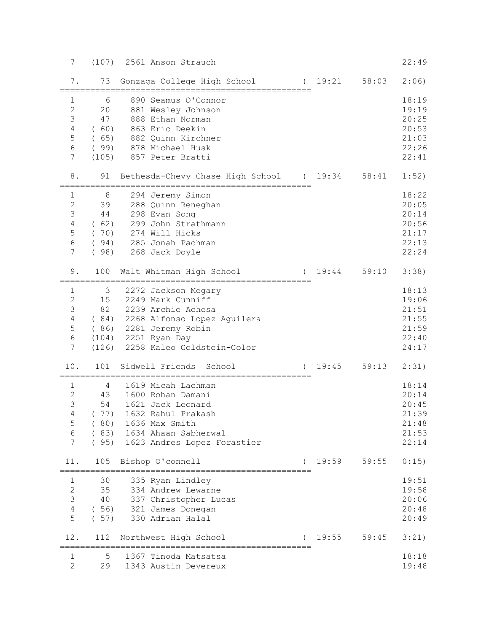| 7                                                                      | (107)                                          | 2561 Anson Strauch                                                                                                                                                                         |         |       | 22:49                                                       |
|------------------------------------------------------------------------|------------------------------------------------|--------------------------------------------------------------------------------------------------------------------------------------------------------------------------------------------|---------|-------|-------------------------------------------------------------|
| 7.                                                                     | 73                                             | Gonzaga College High School (19:21 58:03                                                                                                                                                   |         |       | 2:06)                                                       |
| $\mathbf{1}$<br>$\overline{c}$<br>3<br>$\sqrt{4}$<br>5<br>6<br>7       | 6<br>20<br>47<br>(60)<br>(65)<br>(99)<br>(105) | 890 Seamus O'Connor<br>881 Wesley Johnson<br>888 Ethan Norman<br>863 Eric Deekin<br>882 Quinn Kirchner<br>878 Michael Husk<br>857 Peter Bratti                                             |         |       | 18:19<br>19:19<br>20:25<br>20:53<br>21:03<br>22:26<br>22:41 |
| 8.                                                                     | 91                                             | Bethesda-Chevy Chase High School (19:34                                                                                                                                                    |         | 58:41 | 1:52)                                                       |
| 1<br>$\mathbf{2}$<br>3<br>4<br>5<br>6<br>7                             | 8<br>39<br>44<br>(62)<br>(70)<br>(94)<br>(98)  | 294 Jeremy Simon<br>288 Quinn Reneghan<br>298 Evan Song<br>299 John Strathmann<br>274 Will Hicks<br>285 Jonah Pachman<br>268 Jack Doyle                                                    |         |       | 18:22<br>20:05<br>20:14<br>20:56<br>21:17<br>22:13<br>22:24 |
| 9.                                                                     | 100                                            | Walt Whitman High School                                                                                                                                                                   | (19:44) | 59:10 | 3:38)                                                       |
| 1<br>$\overline{2}$<br>3<br>$\overline{4}$<br>5<br>6<br>$\overline{7}$ | 3<br>15                                        | 2272 Jackson Megary<br>2249 Mark Cunniff<br>82 2239 Archie Achesa<br>(84) 2268 Alfonso Lopez Aguilera<br>(86) 2281 Jeremy Robin<br>(104) 2251 Ryan Day<br>(126) 2258 Kaleo Goldstein-Color |         |       | 18:13<br>19:06<br>21:51<br>21:55<br>21:59<br>22:40<br>24:17 |
| 10.                                                                    | 101                                            | Sidwell Friends School                                                                                                                                                                     | 19:45   | 59:13 | 2:31)                                                       |
| $\mathbf{1}$<br>$\overline{2}$<br>3<br>$\overline{4}$<br>5<br>6<br>7   | 4<br>43<br>54<br>(77)<br>(80)<br>(83)<br>(95)  | 1619 Micah Lachman<br>1600 Rohan Damani<br>1621 Jack Leonard<br>1632 Rahul Prakash<br>1636 Max Smith<br>1634 Ahaan Sabherwal<br>1623 Andres Lopez Forastier                                |         |       | 18:14<br>20:14<br>20:45<br>21:39<br>21:48<br>21:53<br>22:14 |
| 11.                                                                    | 105                                            | Bishop O'connell                                                                                                                                                                           | 19:59   | 59:55 | 0:15)                                                       |
| 1<br>$\sqrt{2}$<br>3<br>$\overline{4}$<br>5                            | 30<br>35<br>40<br>(56)<br>(57)                 | 335 Ryan Lindley<br>334 Andrew Lewarne<br>337 Christopher Lucas<br>321 James Donegan<br>330 Adrian Halal                                                                                   |         |       | 19:51<br>19:58<br>20:06<br>20:48<br>20:49                   |
| 12.                                                                    | 112                                            | Northwest High School                                                                                                                                                                      | 19:55   | 59:45 | 3:21)                                                       |
| 1<br>$\overline{2}$                                                    | 5<br>29                                        | 1367 Tinoda Matsatsa<br>1343 Austin Devereux                                                                                                                                               |         |       | 18:18<br>19:48                                              |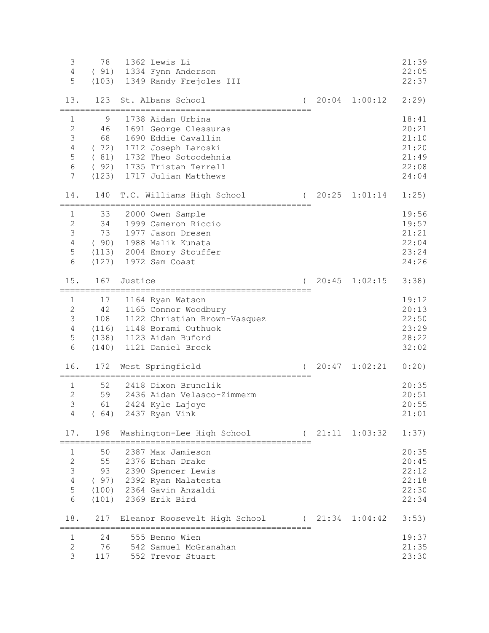| 3<br>$\overline{4}$<br>5    | 78      | 1362 Lewis Li<br>(91) 1334 Fynn Anderson<br>(103) 1349 Randy Frejoles III |       |                        | 21:39<br>22:05<br>22:37 |
|-----------------------------|---------|---------------------------------------------------------------------------|-------|------------------------|-------------------------|
| 13.                         | 123     | St. Albans School                                                         |       | $(20:04 \quad 1:00:12$ | 2:29                    |
| $\mathbf 1$<br>$\mathbf{2}$ | 9<br>46 | 1738 Aidan Urbina                                                         |       |                        | 18:41<br>20:21          |
| $\mathsf 3$                 | 68      | 1691 George Clessuras<br>1690 Eddie Cavallin                              |       |                        | 21:10                   |
| $\sqrt{4}$                  | (72)    | 1712 Joseph Laroski                                                       |       |                        | 21:20                   |
| 5                           |         | (81) 1732 Theo Sotoodehnia                                                |       |                        | 21:49                   |
| $\epsilon$                  |         | (92) 1735 Tristan Terrell                                                 |       |                        | 22:08                   |
| 7                           |         | (123) 1717 Julian Matthews                                                |       |                        | 24:04                   |
| 14.                         | 140     | T.C. Williams High School                                                 |       | $(20:25 \t1:01:14$     | 1:25)                   |
| 1                           | 33      | 2000 Owen Sample                                                          |       |                        | 19:56                   |
| $\sqrt{2}$                  | 34      | 1999 Cameron Riccio                                                       |       |                        | 19:57                   |
| 3                           | 73      | 1977 Jason Dresen                                                         |       |                        | 21:21                   |
| $\sqrt{4}$<br>5             |         | (90) 1988 Malik Kunata<br>(113) 2004 Emory Stouffer                       |       |                        | 22:04<br>23:24          |
| 6                           |         | (127) 1972 Sam Coast                                                      |       |                        | 24:26                   |
|                             |         |                                                                           |       |                        |                         |
| 15.                         | 167     | Justice                                                                   | 20:45 | 1:02:15                | 3:38)                   |
| 1                           | 17      | 1164 Ryan Watson                                                          |       |                        | 19:12                   |
| $\overline{2}$              |         | 42 1165 Connor Woodbury                                                   |       |                        | 20:13                   |
| 3                           |         | 108 1122 Christian Brown-Vasquez                                          |       |                        | 22:50                   |
| $\overline{4}$              |         | (116) 1148 Borami Outhuok                                                 |       |                        | 23:29                   |
| 5<br>6                      |         | (138) 1123 Aidan Buford<br>(140) 1121 Daniel Brock                        |       |                        | 28:22<br>32:02          |
|                             |         |                                                                           |       |                        |                         |
| 16.                         | 172     | West Springfield                                                          | 20:47 | 1:02:21                | 0:20)                   |
| 1                           | 52      | 2418 Dixon Brunclik                                                       |       |                        | 20:35                   |
| $\overline{2}$              | 59      | 2436 Aidan Velasco-Zimmerm                                                |       |                        | 20:51                   |
| 3                           | 61      | 2424 Kyle Lajoye                                                          |       |                        | 20:55                   |
| 4                           | (64)    | 2437 Ryan Vink                                                            |       |                        | 21:01                   |
| 17.                         | 198     | Washington-Lee High School<br>================                            |       | 21:11 1:03:32          | 1:37)                   |
| 1                           | 50      | 2387 Max Jamieson                                                         |       |                        | 20:35                   |
| $\overline{2}$              | 55      | 2376 Ethan Drake                                                          |       |                        | 20:45                   |
| 3                           | 93      | 2390 Spencer Lewis                                                        |       |                        | 22:12                   |
| $\sqrt{4}$                  |         | (97) 2392 Ryan Malatesta                                                  |       |                        | 22:18                   |
| 5<br>6                      |         | (100) 2364 Gavin Anzaldi<br>(101) 2369 Erik Bird                          |       |                        | 22:30<br>22:34          |
|                             |         |                                                                           |       |                        |                         |
| 18.                         | 217     | Eleanor Roosevelt High School (21:34 1:04:42                              |       |                        | 3:53)                   |
| 1                           | 24      | 555 Benno Wien                                                            |       |                        | 19:37                   |
| $\mathbf{2}$                | 76      | 542 Samuel McGranahan                                                     |       |                        | 21:35                   |
| 3                           | 117     | 552 Trevor Stuart                                                         |       |                        | 23:30                   |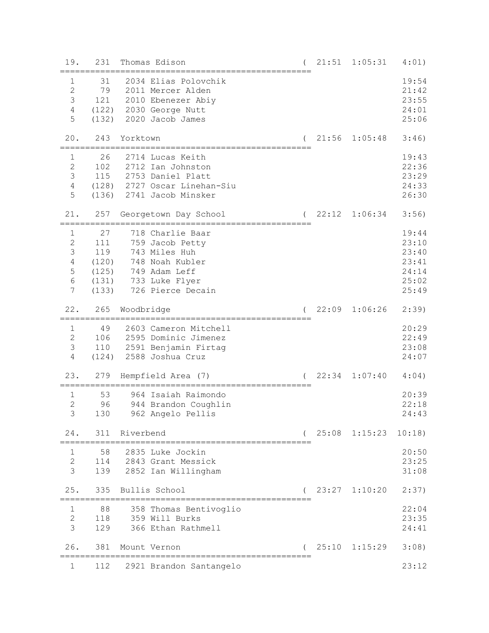| 19.                                                             | 231                                | Thomas Edison                                                                                                                               | 21:51 | 1:05:31                | 4:01)                                                       |
|-----------------------------------------------------------------|------------------------------------|---------------------------------------------------------------------------------------------------------------------------------------------|-------|------------------------|-------------------------------------------------------------|
| $\mathbf 1$<br>$\sqrt{2}$<br>$\mathsf 3$<br>$\overline{4}$<br>5 | 31<br>79<br>121<br>(122)<br>(132)  | 2034 Elias Polovchik<br>2011 Mercer Alden<br>2010 Ebenezer Abiy<br>2030 George Nutt<br>2020 Jacob James                                     |       |                        | 19:54<br>21:42<br>23:55<br>24:01<br>25:06                   |
| 20.                                                             | 243                                | Yorktown                                                                                                                                    | 21:56 | 1:05:48                | 3:46)                                                       |
| $\mathbf{1}$<br>$\overline{2}$<br>3<br>4<br>5                   | 26<br>102<br>115                   | 2714 Lucas Keith<br>2712 Ian Johnston<br>2753 Daniel Platt<br>(128) 2727 Oscar Linehan-Siu<br>(136) 2741 Jacob Minsker                      |       |                        | 19:43<br>22:36<br>23:29<br>24:33<br>26:30                   |
| 21.                                                             | 257                                | Georgetown Day School                                                                                                                       | 22:12 | 1:06:34                | 3:56)                                                       |
| 1<br>$\overline{c}$<br>3<br>$\overline{4}$<br>5<br>6<br>7       | 27<br>111<br>119<br>(120)<br>(133) | 718 Charlie Baar<br>759 Jacob Petty<br>743 Miles Huh<br>748 Noah Kubler<br>(125) 749 Adam Leff<br>(131) 733 Luke Flyer<br>726 Pierce Decain |       |                        | 19:44<br>23:10<br>23:40<br>23:41<br>24:14<br>25:02<br>25:49 |
| 22.                                                             | 265                                | Woodbridge                                                                                                                                  | 22:09 | 1:06:26                | 2:39                                                        |
| $\mathbf 1$<br>$\overline{c}$<br>$\mathcal{S}$<br>4             | 49<br>106<br>(124)                 | 2603 Cameron Mitchell<br>2595 Dominic Jimenez<br>110 2591 Benjamin Firtag<br>2588 Joshua Cruz                                               |       |                        | 20:29<br>22:49<br>23:08<br>24:07                            |
| 23.                                                             | 279                                | Hempfield Area (7)                                                                                                                          | 22:34 | 1:07:40                | 4:04)                                                       |
| 1<br>$\overline{2}$<br>$\overline{3}$                           | 53<br>96<br>130                    | 964 Isaiah Raimondo<br>944 Brandon Coughlin<br>962 Angelo Pellis                                                                            |       |                        | 20:39<br>22:18<br>24:43                                     |
| 24.                                                             | 311                                | Riverbend                                                                                                                                   |       | $25:08$ 1:15:23 10:18) |                                                             |
| 1<br>$\mathbf{2}$<br>3                                          | 58<br>114<br>139                   | 2835 Luke Jockin<br>2843 Grant Messick<br>2852 Ian Willingham                                                                               |       |                        | 20:50<br>23:25<br>31:08                                     |
| 25.                                                             | 335                                | Bullis School                                                                                                                               |       | 23:27 1:10:20          | 2:37)                                                       |
| $\mathbf 1$<br>$\overline{c}$<br>3                              | 88<br>118<br>129                   | 358 Thomas Bentivoglio<br>359 Will Burks<br>366 Ethan Rathmell                                                                              |       |                        | 22:04<br>23:35<br>24:41                                     |
| 26.                                                             | 381                                | Mount Vernon                                                                                                                                |       | 25:10 1:15:29          | 3:08)                                                       |
| 1                                                               | 112                                | 2921 Brandon Santangelo                                                                                                                     |       |                        | 23:12                                                       |